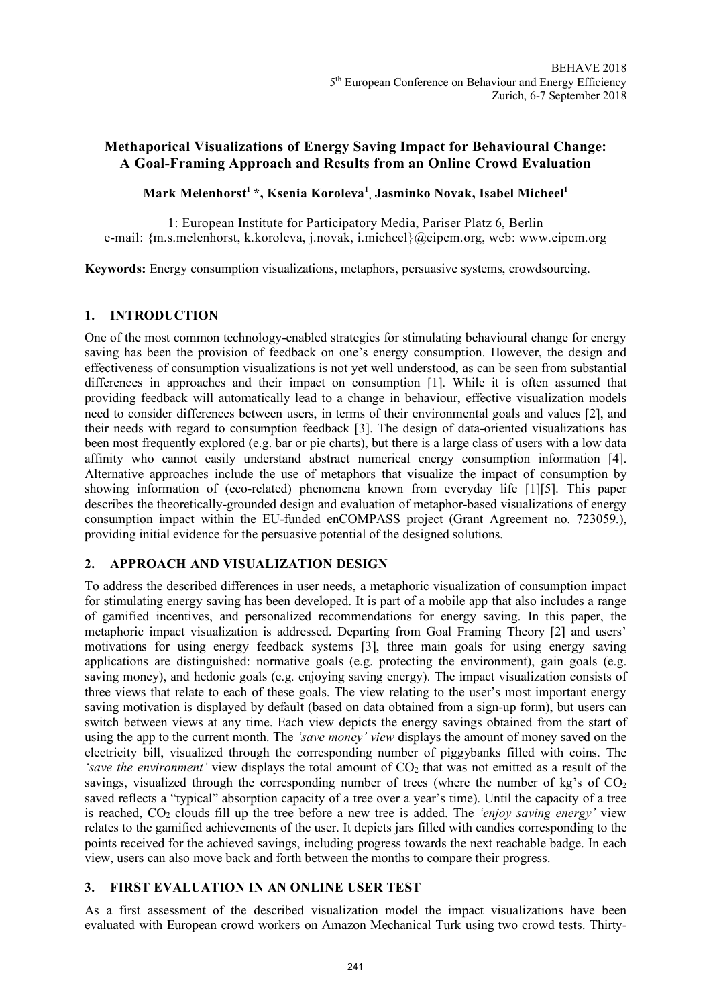# **Methaporical Visualizations of Energy Saving Impact for Behavioural Change: A Goal-Framing Approach and Results from an Online Crowd Evaluation**

## **Mark Melenhorst1 \*, Ksenia Koroleva<sup>1</sup> , Jasminko Novak, Isabel Micheel<sup>1</sup>**

1: European Institute for Participatory Media, Pariser Platz 6, Berlin e-mail: {m.s.melenhorst, k.koroleva, j.novak, i.micheel}@eipcm.org, web: www.eipcm.org

**Keywords:** Energy consumption visualizations, metaphors, persuasive systems, crowdsourcing.

### **1. INTRODUCTION**

One of the most common technology-enabled strategies for stimulating behavioural change for energy saving has been the provision of feedback on one's energy consumption. However, the design and effectiveness of consumption visualizations is not yet well understood, as can be seen from substantial differences in approaches and their impact on consumption [1]. While it is often assumed that providing feedback will automatically lead to a change in behaviour, effective visualization models need to consider differences between users, in terms of their environmental goals and values [2], and their needs with regard to consumption feedback [3]. The design of data-oriented visualizations has been most frequently explored (e.g. bar or pie charts), but there is a large class of users with a low data affinity who cannot easily understand abstract numerical energy consumption information [4]. Alternative approaches include the use of metaphors that visualize the impact of consumption by showing information of (eco-related) phenomena known from everyday life [1][5]. This paper describes the theoretically-grounded design and evaluation of metaphor-based visualizations of energy consumption impact within the EU-funded enCOMPASS project (Grant Agreement no. 723059.), providing initial evidence for the persuasive potential of the designed solutions.

### **2. APPROACH AND VISUALIZATION DESIGN**

To address the described differences in user needs, a metaphoric visualization of consumption impact for stimulating energy saving has been developed. It is part of a mobile app that also includes a range of gamified incentives, and personalized recommendations for energy saving. In this paper, the metaphoric impact visualization is addressed. Departing from Goal Framing Theory [2] and users' motivations for using energy feedback systems [3], three main goals for using energy saving applications are distinguished: normative goals (e.g. protecting the environment), gain goals (e.g. saving money), and hedonic goals (e.g. enjoying saving energy). The impact visualization consists of three views that relate to each of these goals. The view relating to the user's most important energy saving motivation is displayed by default (based on data obtained from a sign-up form), but users can switch between views at any time. Each view depicts the energy savings obtained from the start of using the app to the current month. The *'save money' view* displays the amount of money saved on the electricity bill, visualized through the corresponding number of piggybanks filled with coins. The 'save the environment' view displays the total amount of  $CO<sub>2</sub>$  that was not emitted as a result of the savings, visualized through the corresponding number of trees (where the number of kg's of  $CO<sub>2</sub>$ saved reflects a "typical" absorption capacity of a tree over a year's time). Until the capacity of a tree is reached, CO2 clouds fill up the tree before a new tree is added. The *'enjoy saving energy'* view relates to the gamified achievements of the user. It depicts jars filled with candies corresponding to the points received for the achieved savings, including progress towards the next reachable badge. In each view, users can also move back and forth between the months to compare their progress.

### **3. FIRST EVALUATION IN AN ONLINE USER TEST**

As a first assessment of the described visualization model the impact visualizations have been evaluated with European crowd workers on Amazon Mechanical Turk using two crowd tests. Thirty-